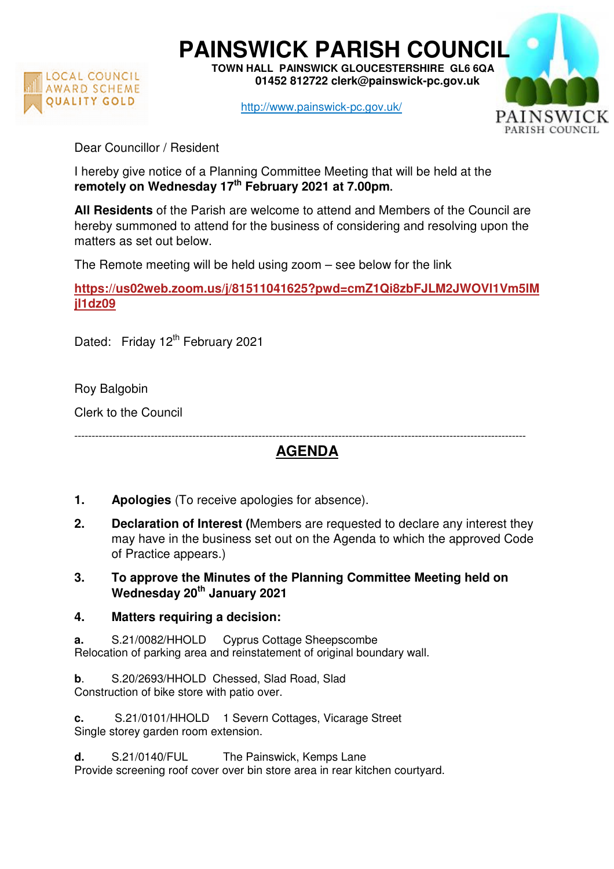

**PAINSWICK PARISH COUNCIL TOWN HALL PAINSWICK GLOUCESTERSHIRE GL6 6QA** 

 **01452 812722 clerk@painswick-pc.gov.uk** 

http://www.painswick-pc.gov.uk/



Dear Councillor / Resident

I hereby give notice of a Planning Committee Meeting that will be held at the **remotely on Wednesday 17th February 2021 at 7.00pm.**

**All Residents** of the Parish are welcome to attend and Members of the Council are hereby summoned to attend for the business of considering and resolving upon the matters as set out below.

The Remote meeting will be held using zoom – see below for the link

**https://us02web.zoom.us/j/81511041625?pwd=cmZ1Qi8zbFJLM2JWOVl1Vm5lM jl1dz09**

Dated: Friday 12<sup>th</sup> February 2021

Roy Balgobin

Clerk to the Council

---------------------------------------------------------------------------------------------------------------------------------- **AGENDA** 

- **1. Apologies** (To receive apologies for absence).
- **2. Declaration of Interest (**Members are requested to declare any interest they may have in the business set out on the Agenda to which the approved Code of Practice appears.)
- **3. To approve the Minutes of the Planning Committee Meeting held on Wednesday 20th January 2021**

## **4. Matters requiring a decision:**

**a.** S.21/0082/HHOLD Cyprus Cottage Sheepscombe Relocation of parking area and reinstatement of original boundary wall.

**b**. S.20/2693/HHOLD Chessed, Slad Road, Slad Construction of bike store with patio over.

**c.** S.21/0101/HHOLD 1 Severn Cottages, Vicarage Street Single storey garden room extension.

**d.** S.21/0140/FUL The Painswick, Kemps Lane Provide screening roof cover over bin store area in rear kitchen courtyard.